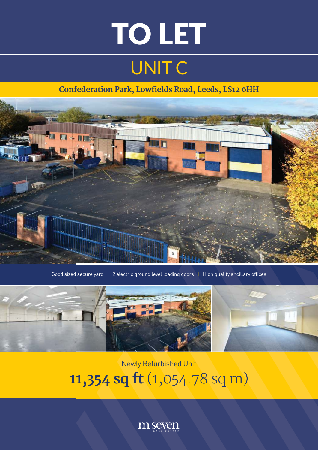# UNIT C TO LET

### **Confederation Park, Lowfields Road, Leeds, LS12 6HH**



Good sized secure yard | 2 electric ground level loading doors | High quality ancillary offices



## Newly Refurbished Unit **11,354 sq ft** (1,054.78 sq m)

 $m<sub>i</sub>$ seven